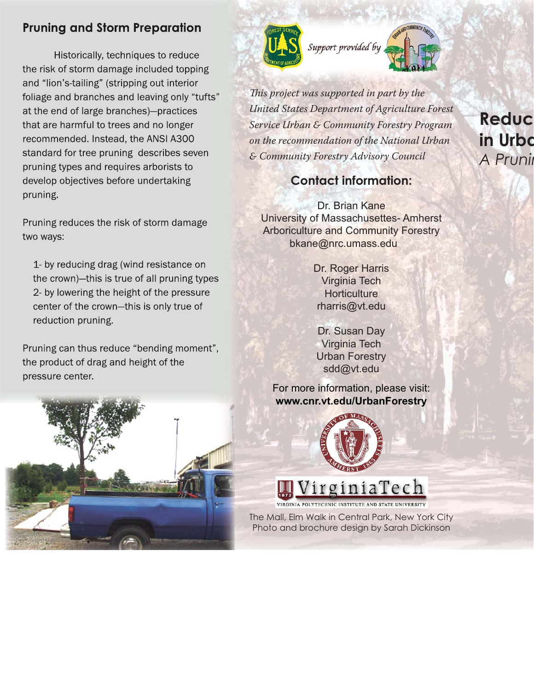# **Pruning and Storm Preparation**

Historically, techniques to reduce the risk of storm damage included topping and "lion's-tailing" (stripping out interior foliage and branches and leaving only "tufts" at the end of large branches)-practices that are harmful to trees and no longer recommended. Instead, the ANSI A300 standard for tree pruning describes seven pruning types and requires arborists to develop objectives before undertaking pruning.

Pruning reduces the risk of storm damage two ways:

1- by reducing drag (wind resistance on the crown)-this is true of all pruning types 2- by lowering the height of the pressure center of the crown-this is only true of reduction pruning.

Pruning can thus reduce "bending moment", the product of drag and height of the pressure center.





This project was supported in part by the United States Department of Agriculture Forest Service Urban & Community Forestry Program on the recommendation of the National Urban & Community Forestry Advisory Council

## **Contact information:**

Dr. Brian Kane University of Massachusettes- Amherst Arboriculture and Community Forestry bkane@nrc.umass.edu

> Dr. Roger Harris Virginia Tech **Horticulture** rharris@vt.edu

Dr. Susan Day Virginia Tech Urban Forestry sdd@vt.edu

For more information, please visit: **www.cnr.vt.edu/UrbanForestry**



# VirginiaTech

VIRGINIA POLYTECHNIC INSTITUTE AND STATE UNIVERSITY

The Mall, Elm Walk in Central Park, New York City Photo and brochure design by Sarah Dickinson

# **Reduc in Urbo** *A Prunin*